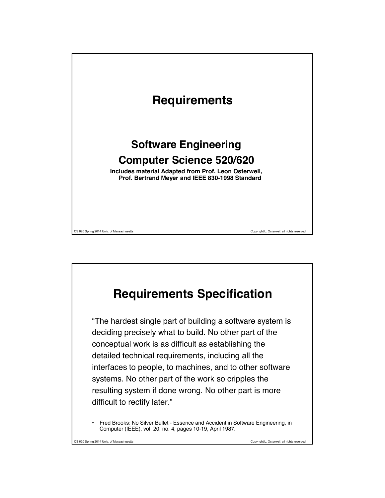

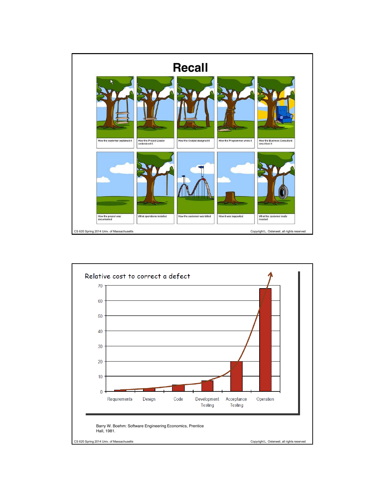

![](_page_1_Figure_1.jpeg)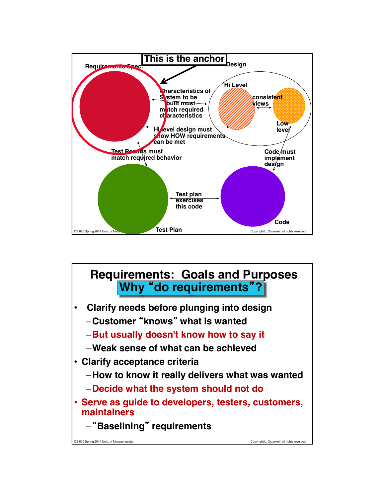![](_page_2_Figure_0.jpeg)

![](_page_2_Figure_1.jpeg)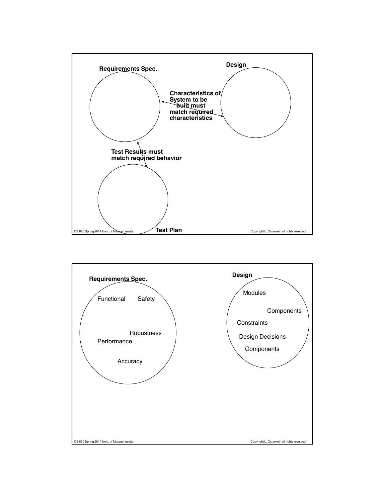![](_page_3_Figure_0.jpeg)

![](_page_3_Figure_1.jpeg)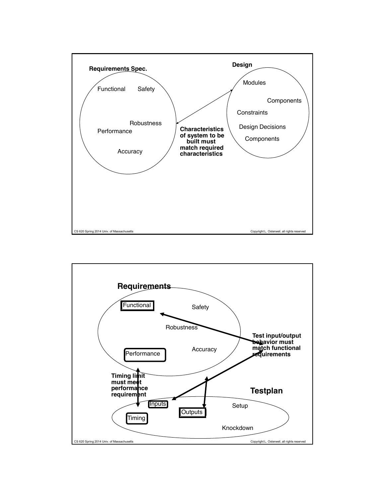![](_page_4_Figure_0.jpeg)

![](_page_4_Figure_1.jpeg)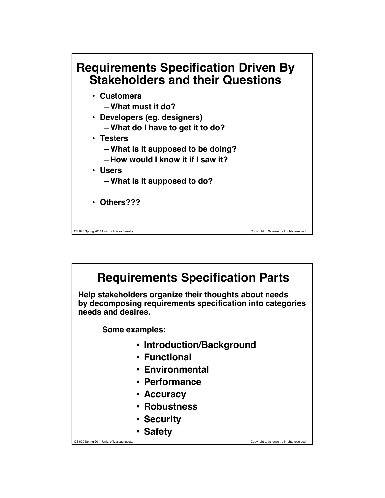![](_page_5_Figure_0.jpeg)

![](_page_5_Figure_1.jpeg)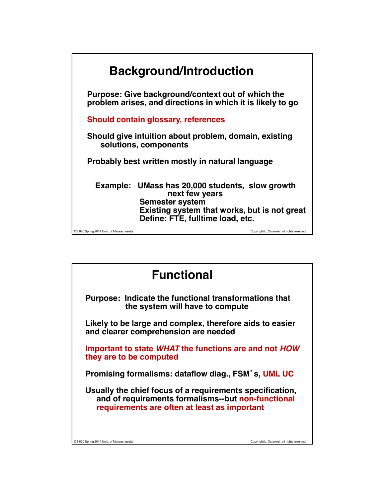![](_page_6_Figure_0.jpeg)

![](_page_6_Picture_1.jpeg)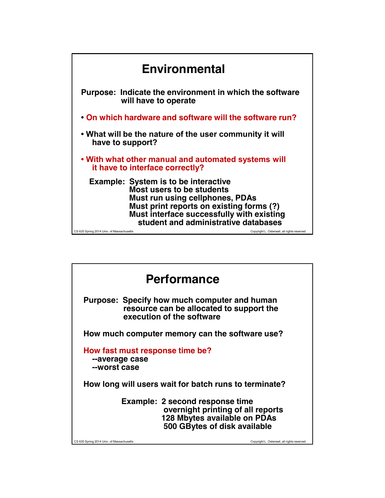![](_page_7_Figure_0.jpeg)

![](_page_7_Figure_1.jpeg)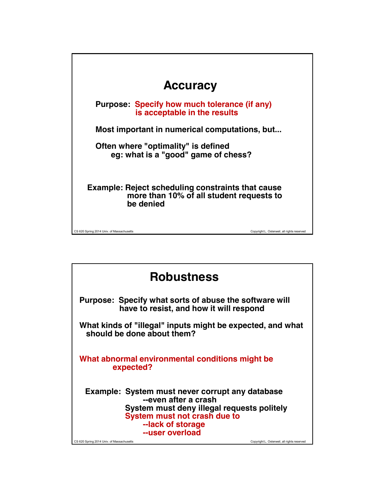| <b>Accuracy</b>                                                                                                   |                                             |
|-------------------------------------------------------------------------------------------------------------------|---------------------------------------------|
| Purpose: Specify how much tolerance (if any)<br>is acceptable in the results                                      |                                             |
| Most important in numerical computations, but                                                                     |                                             |
| Often where "optimality" is defined<br>eg: what is a "good" game of chess?                                        |                                             |
| <b>Example: Reject scheduling constraints that cause</b><br>more than 10% of all student requests to<br>be denied |                                             |
| CS 620 Spring 2014 Univ. of Massachusetts                                                                         | Copyright L. Osterweil, all rights reserved |

| <b>Robustness</b>                                                                                                                                                                             |                                             |
|-----------------------------------------------------------------------------------------------------------------------------------------------------------------------------------------------|---------------------------------------------|
| Purpose: Specify what sorts of abuse the software will<br>have to resist, and how it will respond                                                                                             |                                             |
| What kinds of "illegal" inputs might be expected, and what<br>should be done about them?                                                                                                      |                                             |
| What abnormal environmental conditions might be<br>expected?                                                                                                                                  |                                             |
| Example: System must never corrupt any database<br>--even after a crash<br>System must deny illegal requests politely<br>System must not crash due to<br>--lack of storage<br>--user overload |                                             |
| CS 620 Spring 2014 Univ. of Massachusetts                                                                                                                                                     | Copyright L. Osterweil, all rights reserved |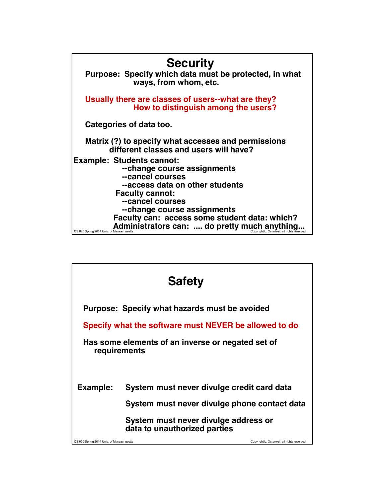![](_page_9_Figure_0.jpeg)

![](_page_9_Figure_1.jpeg)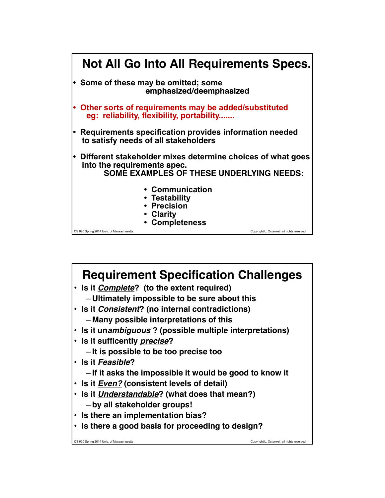![](_page_10_Figure_0.jpeg)

![](_page_10_Picture_1.jpeg)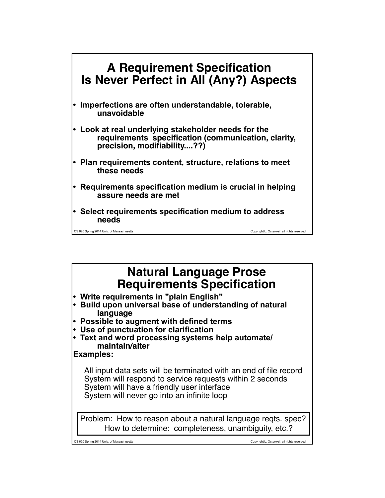![](_page_11_Figure_0.jpeg)

## **Natural Language Prose Requirements Specification**

- **Write requirements in "plain English"**
- **Build upon universal base of understanding of natural language**
- **Possible to augment with defined terms**
- **Use of punctuation for clarification**
- **Text and word processing systems help automate/ maintain/alter**

#### **Examples:**

All input data sets will be terminated with an end of file record System will respond to service requests within 2 seconds System will have a friendly user interface System will never go into an infinite loop

Problem: How to reason about a natural language reqts. spec? How to determine: completeness, unambiguity, etc.?

CS 620 Spring 2014 Univ. of Massachusetts Copyright L. Osterweil, all rights reserved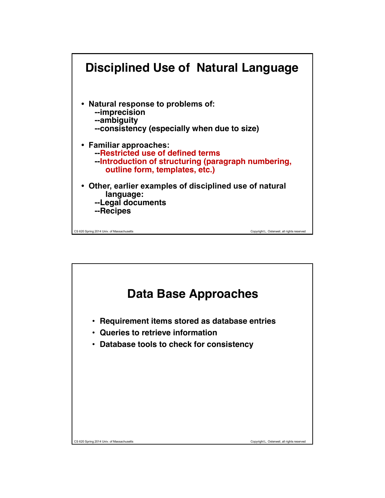![](_page_12_Figure_0.jpeg)

![](_page_12_Figure_1.jpeg)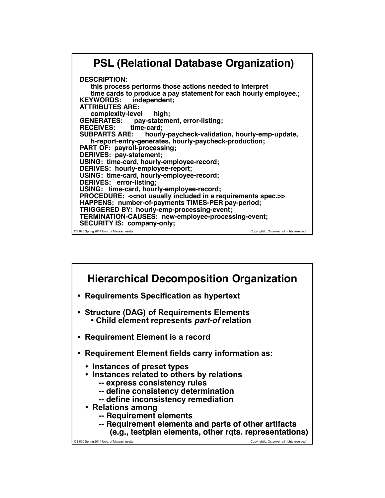## **PSL (Relational Database Organization)**

CS 620 Spring 2014 Univ. of Massachusetts Copyright L. Osterweil, all rights reserved **DESCRIPTION: this process performs those actions needed to interpret time cards to produce a pay statement for each hourly employee.; KEYWORDS: ATTRIBUTES ARE: complexity-level high;<br>GENERATES: pay-stateme** pay-statement, error-listing;<br>time-card; **RECEIVES: time-**<br>SUBPARTS ARE: hourly-paycheck-validation, hourly-emp-update,  **h-report-entry-generates, hourly-paycheck-production; PART OF: payroll-processing; DERIVES: pay-statement; USING: time-card, hourly-employee-record; DERIVES: hourly-employee-report; USING: time-card, hourly-employee-record; DERIVES: error-listing; USING: time-card, hourly-employee-record; PROCEDURE:** << not usually included in a requirements spec.>> **HAPPENS: number-of-payments TIMES-PER pay-period; TRIGGERED BY: hourly-emp-processing-event; TERMINATION-CAUSES: new-employee-processing-event; SECURITY IS: company-only;**

![](_page_13_Figure_2.jpeg)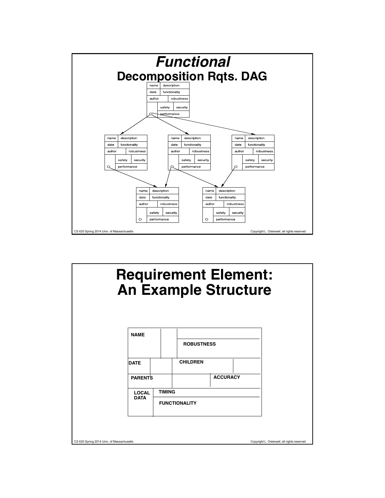![](_page_14_Figure_0.jpeg)

![](_page_14_Figure_1.jpeg)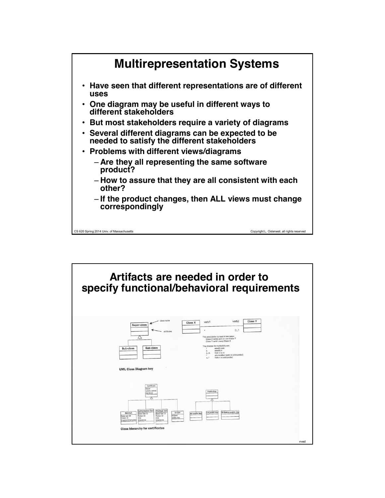![](_page_15_Figure_0.jpeg)

![](_page_15_Figure_1.jpeg)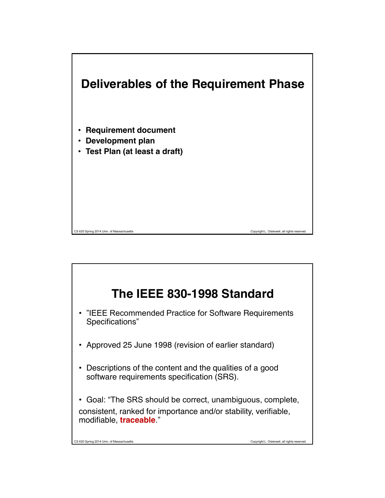![](_page_16_Figure_0.jpeg)

![](_page_16_Figure_1.jpeg)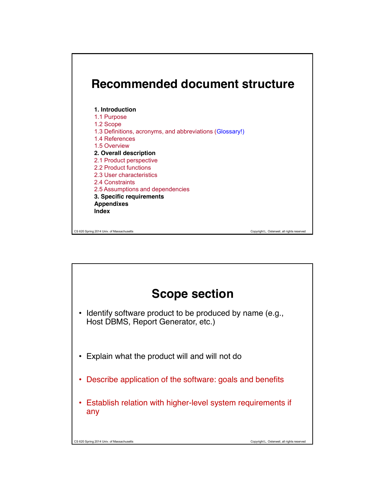![](_page_17_Figure_0.jpeg)

![](_page_17_Figure_1.jpeg)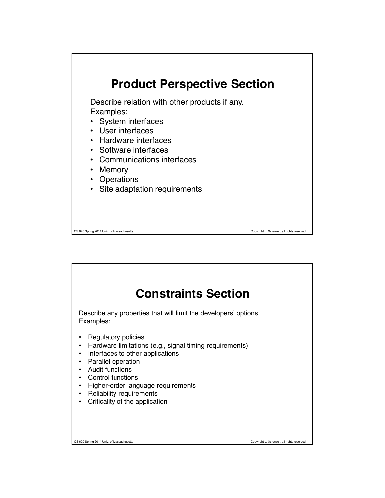![](_page_18_Figure_0.jpeg)

![](_page_18_Picture_1.jpeg)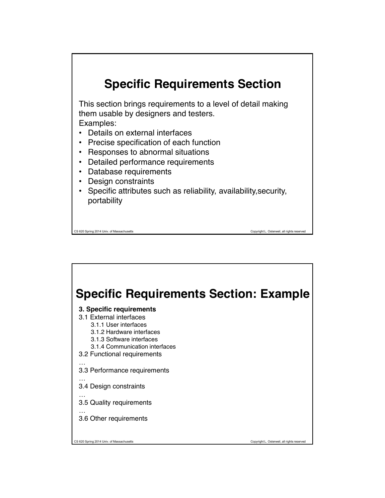# **Specific Requirements Section**

This section brings requirements to a level of detail making them usable by designers and testers.

Examples:

- Details on external interfaces
- Precise specification of each function
- Responses to abnormal situations
- Detailed performance requirements
- Database requirements
- Design constraints
- Specific attributes such as reliability, availability,security, portability

CS 620 Spring 2014 Univ. of Massachusetts Copyright L. Osterweil, all rights reserved

# **Specific Requirements Section: Example**

#### **3. Specific requirements**

- 3.1 External interfaces
	- 3.1.1 User interfaces
	- 3.1.2 Hardware interfaces
	- 3.1.3 Software interfaces
	- 3.1.4 Communication interfaces
- 3.2 Functional requirements
- … 3.3 Performance requirements
- …
- 3.4 Design constraints
- … 3.5 Quality requirements

…

3.6 Other requirements

CS 620 Spring 2014 Univ. of Massachusetts Copyright L. Osterweil, all rights reserved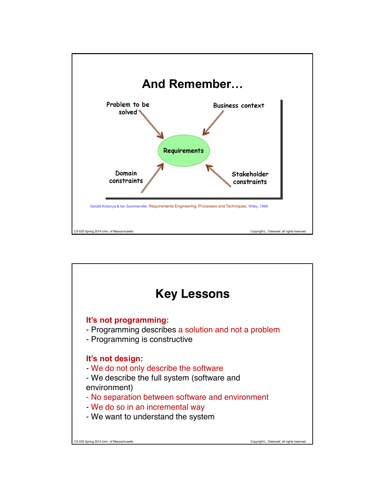![](_page_20_Figure_0.jpeg)

![](_page_20_Figure_1.jpeg)